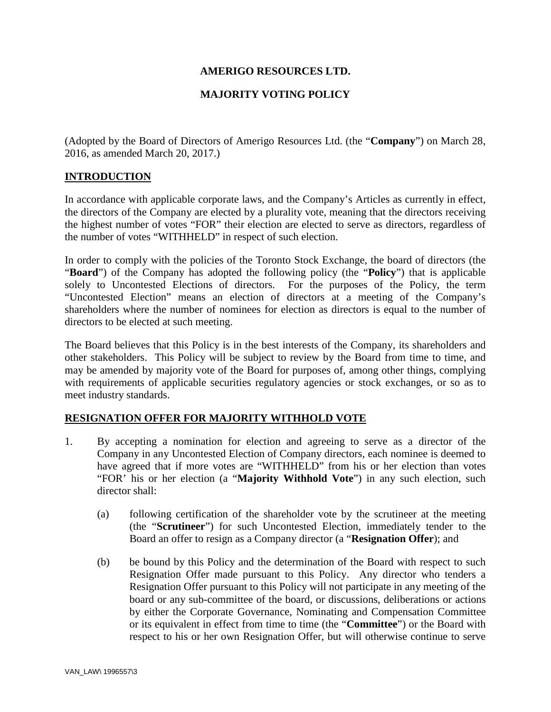## **AMERIGO RESOURCES LTD.**

# **MAJORITY VOTING POLICY**

(Adopted by the Board of Directors of Amerigo Resources Ltd. (the "**Company**") on March 28, 2016, as amended March 20, 2017.)

### **INTRODUCTION**

In accordance with applicable corporate laws, and the Company's Articles as currently in effect, the directors of the Company are elected by a plurality vote, meaning that the directors receiving the highest number of votes "FOR" their election are elected to serve as directors, regardless of the number of votes "WITHHELD" in respect of such election.

In order to comply with the policies of the Toronto Stock Exchange, the board of directors (the "**Board**") of the Company has adopted the following policy (the "**Policy**") that is applicable solely to Uncontested Elections of directors. For the purposes of the Policy, the term "Uncontested Election" means an election of directors at a meeting of the Company's shareholders where the number of nominees for election as directors is equal to the number of directors to be elected at such meeting.

The Board believes that this Policy is in the best interests of the Company, its shareholders and other stakeholders. This Policy will be subject to review by the Board from time to time, and may be amended by majority vote of the Board for purposes of, among other things, complying with requirements of applicable securities regulatory agencies or stock exchanges, or so as to meet industry standards.

## **RESIGNATION OFFER FOR MAJORITY WITHHOLD VOTE**

- 1. By accepting a nomination for election and agreeing to serve as a director of the Company in any Uncontested Election of Company directors, each nominee is deemed to have agreed that if more votes are "WITHHELD" from his or her election than votes "FOR' his or her election (a "**Majority Withhold Vote**") in any such election, such director shall:
	- (a) following certification of the shareholder vote by the scrutineer at the meeting (the "**Scrutineer**") for such Uncontested Election, immediately tender to the Board an offer to resign as a Company director (a "**Resignation Offer**); and
	- (b) be bound by this Policy and the determination of the Board with respect to such Resignation Offer made pursuant to this Policy. Any director who tenders a Resignation Offer pursuant to this Policy will not participate in any meeting of the board or any sub-committee of the board, or discussions, deliberations or actions by either the Corporate Governance, Nominating and Compensation Committee or its equivalent in effect from time to time (the "**Committee**") or the Board with respect to his or her own Resignation Offer, but will otherwise continue to serve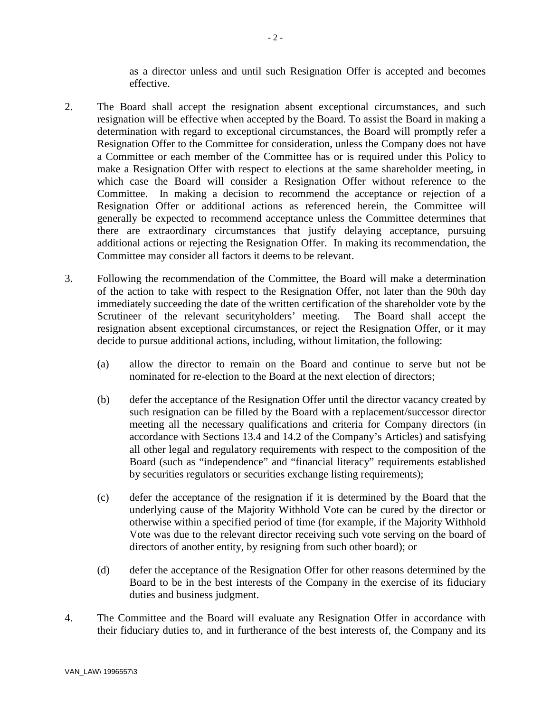as a director unless and until such Resignation Offer is accepted and becomes effective.

- 2. The Board shall accept the resignation absent exceptional circumstances, and such resignation will be effective when accepted by the Board. To assist the Board in making a determination with regard to exceptional circumstances, the Board will promptly refer a Resignation Offer to the Committee for consideration, unless the Company does not have a Committee or each member of the Committee has or is required under this Policy to make a Resignation Offer with respect to elections at the same shareholder meeting, in which case the Board will consider a Resignation Offer without reference to the Committee. In making a decision to recommend the acceptance or rejection of a Resignation Offer or additional actions as referenced herein, the Committee will generally be expected to recommend acceptance unless the Committee determines that there are extraordinary circumstances that justify delaying acceptance, pursuing additional actions or rejecting the Resignation Offer. In making its recommendation, the Committee may consider all factors it deems to be relevant.
- 3. Following the recommendation of the Committee, the Board will make a determination of the action to take with respect to the Resignation Offer, not later than the 90th day immediately succeeding the date of the written certification of the shareholder vote by the Scrutineer of the relevant securityholders' meeting. The Board shall accept the resignation absent exceptional circumstances, or reject the Resignation Offer, or it may decide to pursue additional actions, including, without limitation, the following:
	- (a) allow the director to remain on the Board and continue to serve but not be nominated for re-election to the Board at the next election of directors;
	- (b) defer the acceptance of the Resignation Offer until the director vacancy created by such resignation can be filled by the Board with a replacement/successor director meeting all the necessary qualifications and criteria for Company directors (in accordance with Sections 13.4 and 14.2 of the Company's Articles) and satisfying all other legal and regulatory requirements with respect to the composition of the Board (such as "independence" and "financial literacy" requirements established by securities regulators or securities exchange listing requirements);
	- (c) defer the acceptance of the resignation if it is determined by the Board that the underlying cause of the Majority Withhold Vote can be cured by the director or otherwise within a specified period of time (for example, if the Majority Withhold Vote was due to the relevant director receiving such vote serving on the board of directors of another entity, by resigning from such other board); or
	- (d) defer the acceptance of the Resignation Offer for other reasons determined by the Board to be in the best interests of the Company in the exercise of its fiduciary duties and business judgment.
- 4. The Committee and the Board will evaluate any Resignation Offer in accordance with their fiduciary duties to, and in furtherance of the best interests of, the Company and its